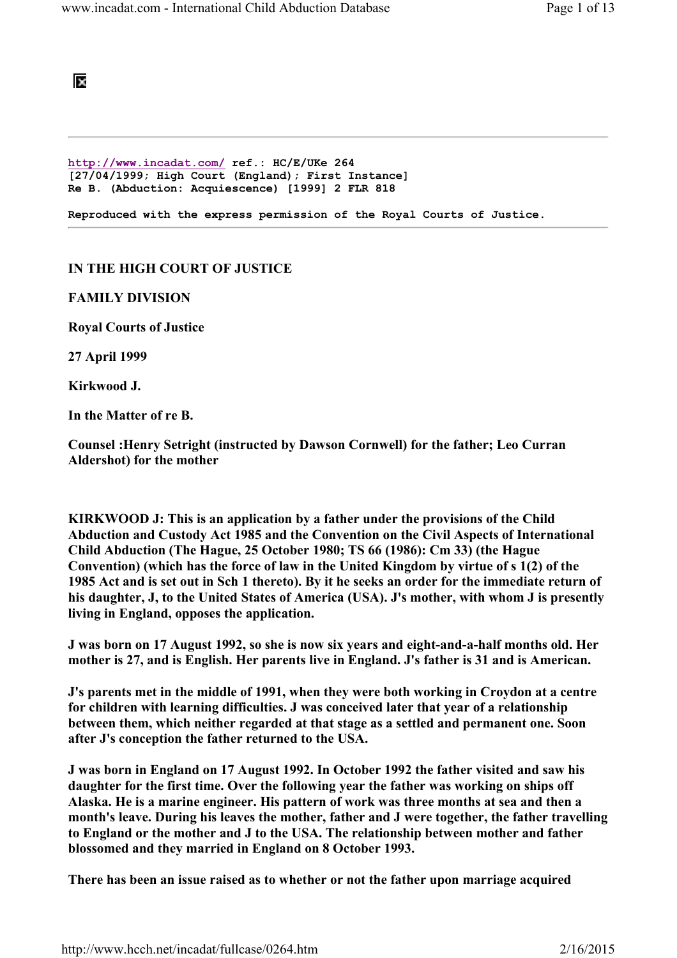

http://www.incadat.com/ ref.: HC/E/UKe 264 [27/04/1999; High Court (England); First Instance] Re B. (Abduction: Acquiescence) [1999] 2 FLR 818

Reproduced with the express permission of the Royal Courts of Justice.

## IN THE HIGH COURT OF JUSTICE

FAMILY DIVISION

Royal Courts of Justice

27 April 1999

Kirkwood J.

In the Matter of re B.

Counsel :Henry Setright (instructed by Dawson Cornwell) for the father; Leo Curran Aldershot) for the mother

KIRKWOOD J: This is an application by a father under the provisions of the Child Abduction and Custody Act 1985 and the Convention on the Civil Aspects of International Child Abduction (The Hague, 25 October 1980; TS 66 (1986): Cm 33) (the Hague Convention) (which has the force of law in the United Kingdom by virtue of s 1(2) of the 1985 Act and is set out in Sch 1 thereto). By it he seeks an order for the immediate return of his daughter, J, to the United States of America (USA). J's mother, with whom J is presently living in England, opposes the application.

J was born on 17 August 1992, so she is now six years and eight-and-a-half months old. Her mother is 27, and is English. Her parents live in England. J's father is 31 and is American.

J's parents met in the middle of 1991, when they were both working in Croydon at a centre for children with learning difficulties. J was conceived later that year of a relationship between them, which neither regarded at that stage as a settled and permanent one. Soon after J's conception the father returned to the USA.

J was born in England on 17 August 1992. In October 1992 the father visited and saw his daughter for the first time. Over the following year the father was working on ships off Alaska. He is a marine engineer. His pattern of work was three months at sea and then a month's leave. During his leaves the mother, father and J were together, the father travelling to England or the mother and J to the USA. The relationship between mother and father blossomed and they married in England on 8 October 1993.

There has been an issue raised as to whether or not the father upon marriage acquired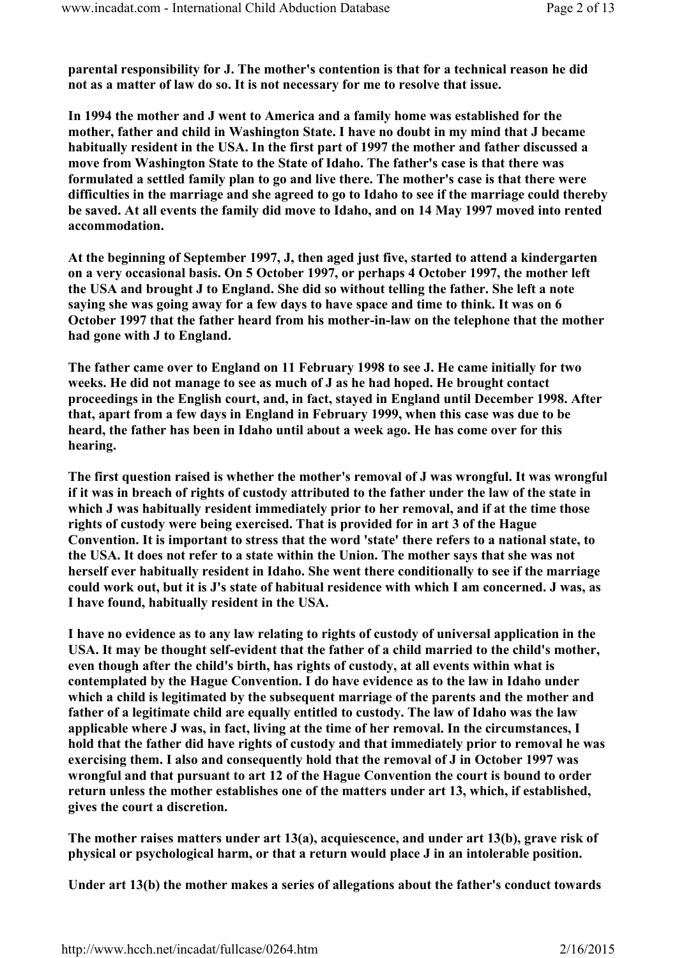parental responsibility for J. The mother's contention is that for a technical reason he did not as a matter of law do so. It is not necessary for me to resolve that issue.

In 1994 the mother and J went to America and a family home was established for the mother, father and child in Washington State. I have no doubt in my mind that J became habitually resident in the USA. In the first part of 1997 the mother and father discussed a move from Washington State to the State of Idaho. The father's case is that there was formulated a settled family plan to go and live there. The mother's case is that there were difficulties in the marriage and she agreed to go to Idaho to see if the marriage could thereby be saved. At all events the family did move to Idaho, and on 14 May 1997 moved into rented accommodation.

At the beginning of September 1997, J, then aged just five, started to attend a kindergarten on a very occasional basis. On 5 October 1997, or perhaps 4 October 1997, the mother left the USA and brought J to England. She did so without telling the father. She left a note saying she was going away for a few days to have space and time to think. It was on 6 October 1997 that the father heard from his mother-in-law on the telephone that the mother had gone with J to England.

The father came over to England on 11 February 1998 to see J. He came initially for two weeks. He did not manage to see as much of J as he had hoped. He brought contact proceedings in the English court, and, in fact, stayed in England until December 1998. After that, apart from a few days in England in February 1999, when this case was due to be heard, the father has been in Idaho until about a week ago. He has come over for this hearing.

The first question raised is whether the mother's removal of J was wrongful. It was wrongful if it was in breach of rights of custody attributed to the father under the law of the state in which J was habitually resident immediately prior to her removal, and if at the time those rights of custody were being exercised. That is provided for in art 3 of the Hague Convention. It is important to stress that the word 'state' there refers to a national state, to the USA. It does not refer to a state within the Union. The mother says that she was not herself ever habitually resident in Idaho. She went there conditionally to see if the marriage could work out, but it is J's state of habitual residence with which I am concerned. J was, as I have found, habitually resident in the USA.

I have no evidence as to any law relating to rights of custody of universal application in the USA. It may be thought self-evident that the father of a child married to the child's mother, even though after the child's birth, has rights of custody, at all events within what is contemplated by the Hague Convention. I do have evidence as to the law in Idaho under which a child is legitimated by the subsequent marriage of the parents and the mother and father of a legitimate child are equally entitled to custody. The law of Idaho was the law applicable where J was, in fact, living at the time of her removal. In the circumstances, I hold that the father did have rights of custody and that immediately prior to removal he was exercising them. I also and consequently hold that the removal of J in October 1997 was wrongful and that pursuant to art 12 of the Hague Convention the court is bound to order return unless the mother establishes one of the matters under art 13, which, if established, gives the court a discretion.

The mother raises matters under art 13(a), acquiescence, and under art 13(b), grave risk of physical or psychological harm, or that a return would place J in an intolerable position.

Under art 13(b) the mother makes a series of allegations about the father's conduct towards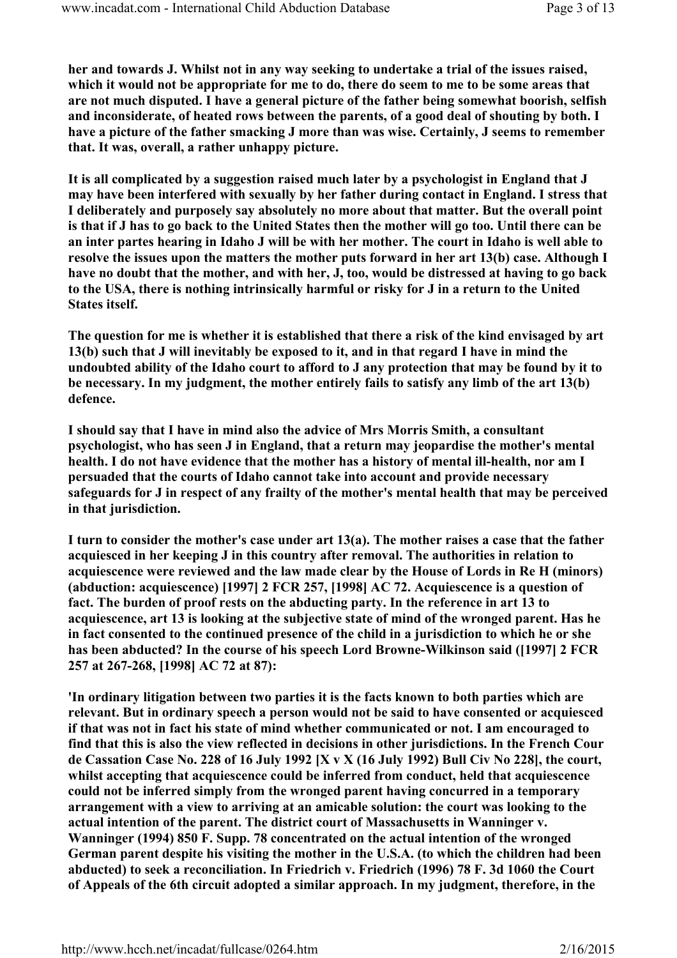her and towards J. Whilst not in any way seeking to undertake a trial of the issues raised, which it would not be appropriate for me to do, there do seem to me to be some areas that are not much disputed. I have a general picture of the father being somewhat boorish, selfish and inconsiderate, of heated rows between the parents, of a good deal of shouting by both. I have a picture of the father smacking J more than was wise. Certainly, J seems to remember that. It was, overall, a rather unhappy picture.

It is all complicated by a suggestion raised much later by a psychologist in England that J may have been interfered with sexually by her father during contact in England. I stress that I deliberately and purposely say absolutely no more about that matter. But the overall point is that if J has to go back to the United States then the mother will go too. Until there can be an inter partes hearing in Idaho J will be with her mother. The court in Idaho is well able to resolve the issues upon the matters the mother puts forward in her art 13(b) case. Although I have no doubt that the mother, and with her, J, too, would be distressed at having to go back to the USA, there is nothing intrinsically harmful or risky for J in a return to the United States itself.

The question for me is whether it is established that there a risk of the kind envisaged by art 13(b) such that J will inevitably be exposed to it, and in that regard I have in mind the undoubted ability of the Idaho court to afford to J any protection that may be found by it to be necessary. In my judgment, the mother entirely fails to satisfy any limb of the art 13(b) defence.

I should say that I have in mind also the advice of Mrs Morris Smith, a consultant psychologist, who has seen J in England, that a return may jeopardise the mother's mental health. I do not have evidence that the mother has a history of mental ill-health, nor am I persuaded that the courts of Idaho cannot take into account and provide necessary safeguards for J in respect of any frailty of the mother's mental health that may be perceived in that jurisdiction.

I turn to consider the mother's case under art  $13(a)$ . The mother raises a case that the father acquiesced in her keeping J in this country after removal. The authorities in relation to acquiescence were reviewed and the law made clear by the House of Lords in Re H (minors) (abduction: acquiescence) [1997] 2 FCR 257, [1998] AC 72. Acquiescence is a question of fact. The burden of proof rests on the abducting party. In the reference in art 13 to acquiescence, art 13 is looking at the subjective state of mind of the wronged parent. Has he in fact consented to the continued presence of the child in a jurisdiction to which he or she has been abducted? In the course of his speech Lord Browne-Wilkinson said ([1997] 2 FCR 257 at 267-268, [1998] AC 72 at 87):

'In ordinary litigation between two parties it is the facts known to both parties which are relevant. But in ordinary speech a person would not be said to have consented or acquiesced if that was not in fact his state of mind whether communicated or not. I am encouraged to find that this is also the view reflected in decisions in other jurisdictions. In the French Cour de Cassation Case No. 228 of 16 July 1992 [X v X (16 July 1992) Bull Civ No 228], the court, whilst accepting that acquiescence could be inferred from conduct, held that acquiescence could not be inferred simply from the wronged parent having concurred in a temporary arrangement with a view to arriving at an amicable solution: the court was looking to the actual intention of the parent. The district court of Massachusetts in Wanninger v. Wanninger (1994) 850 F. Supp. 78 concentrated on the actual intention of the wronged German parent despite his visiting the mother in the U.S.A. (to which the children had been abducted) to seek a reconciliation. In Friedrich v. Friedrich (1996) 78 F. 3d 1060 the Court of Appeals of the 6th circuit adopted a similar approach. In my judgment, therefore, in the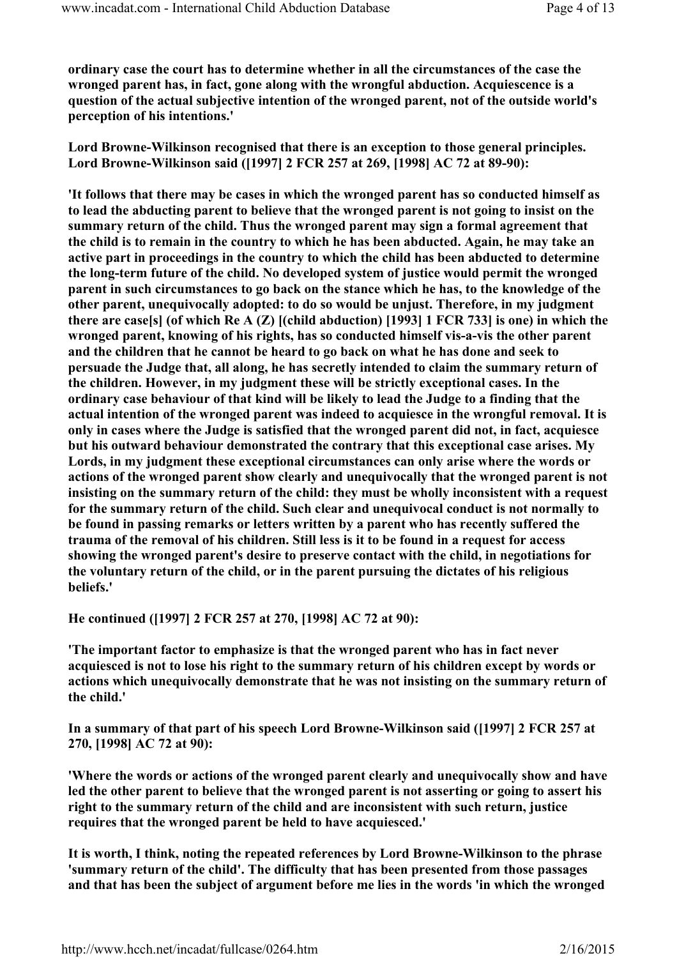ordinary case the court has to determine whether in all the circumstances of the case the wronged parent has, in fact, gone along with the wrongful abduction. Acquiescence is a question of the actual subjective intention of the wronged parent, not of the outside world's perception of his intentions.'

Lord Browne-Wilkinson recognised that there is an exception to those general principles. Lord Browne-Wilkinson said ([1997] 2 FCR 257 at 269, [1998] AC 72 at 89-90):

'It follows that there may be cases in which the wronged parent has so conducted himself as to lead the abducting parent to believe that the wronged parent is not going to insist on the summary return of the child. Thus the wronged parent may sign a formal agreement that the child is to remain in the country to which he has been abducted. Again, he may take an active part in proceedings in the country to which the child has been abducted to determine the long-term future of the child. No developed system of justice would permit the wronged parent in such circumstances to go back on the stance which he has, to the knowledge of the other parent, unequivocally adopted: to do so would be unjust. Therefore, in my judgment there are case[s] (of which Re A  $(Z)$  [(child abduction) [1993] 1 FCR 733] is one) in which the wronged parent, knowing of his rights, has so conducted himself vis-a-vis the other parent and the children that he cannot be heard to go back on what he has done and seek to persuade the Judge that, all along, he has secretly intended to claim the summary return of the children. However, in my judgment these will be strictly exceptional cases. In the ordinary case behaviour of that kind will be likely to lead the Judge to a finding that the actual intention of the wronged parent was indeed to acquiesce in the wrongful removal. It is only in cases where the Judge is satisfied that the wronged parent did not, in fact, acquiesce but his outward behaviour demonstrated the contrary that this exceptional case arises. My Lords, in my judgment these exceptional circumstances can only arise where the words or actions of the wronged parent show clearly and unequivocally that the wronged parent is not insisting on the summary return of the child: they must be wholly inconsistent with a request for the summary return of the child. Such clear and unequivocal conduct is not normally to be found in passing remarks or letters written by a parent who has recently suffered the trauma of the removal of his children. Still less is it to be found in a request for access showing the wronged parent's desire to preserve contact with the child, in negotiations for the voluntary return of the child, or in the parent pursuing the dictates of his religious beliefs.'

He continued ([1997] 2 FCR 257 at 270, [1998] AC 72 at 90):

'The important factor to emphasize is that the wronged parent who has in fact never acquiesced is not to lose his right to the summary return of his children except by words or actions which unequivocally demonstrate that he was not insisting on the summary return of the child.'

In a summary of that part of his speech Lord Browne-Wilkinson said ([1997] 2 FCR 257 at 270, [1998] AC 72 at 90):

'Where the words or actions of the wronged parent clearly and unequivocally show and have led the other parent to believe that the wronged parent is not asserting or going to assert his right to the summary return of the child and are inconsistent with such return, justice requires that the wronged parent be held to have acquiesced.'

It is worth, I think, noting the repeated references by Lord Browne-Wilkinson to the phrase 'summary return of the child'. The difficulty that has been presented from those passages and that has been the subject of argument before me lies in the words 'in which the wronged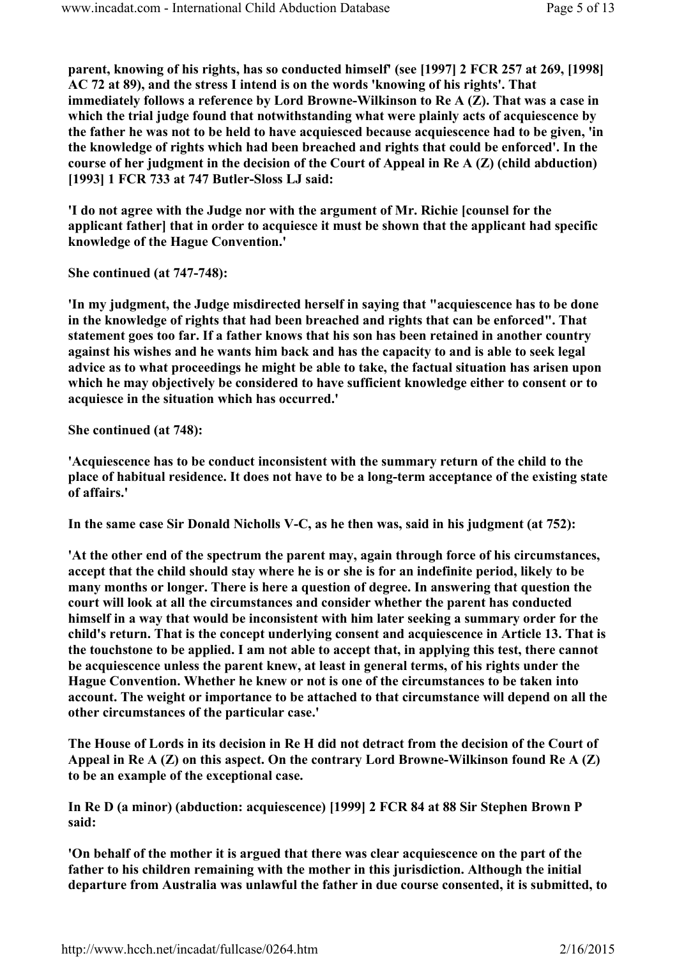parent, knowing of his rights, has so conducted himself' (see [1997] 2 FCR 257 at 269, [1998] AC 72 at 89), and the stress I intend is on the words 'knowing of his rights'. That immediately follows a reference by Lord Browne-Wilkinson to Re A (Z). That was a case in which the trial judge found that notwithstanding what were plainly acts of acquiescence by the father he was not to be held to have acquiesced because acquiescence had to be given, 'in the knowledge of rights which had been breached and rights that could be enforced'. In the course of her judgment in the decision of the Court of Appeal in Re A (Z) (child abduction) [1993] 1 FCR 733 at 747 Butler-Sloss LJ said:

'I do not agree with the Judge nor with the argument of Mr. Richie [counsel for the applicant father] that in order to acquiesce it must be shown that the applicant had specific knowledge of the Hague Convention.'

She continued (at 747-748):

'In my judgment, the Judge misdirected herself in saying that "acquiescence has to be done in the knowledge of rights that had been breached and rights that can be enforced". That statement goes too far. If a father knows that his son has been retained in another country against his wishes and he wants him back and has the capacity to and is able to seek legal advice as to what proceedings he might be able to take, the factual situation has arisen upon which he may objectively be considered to have sufficient knowledge either to consent or to acquiesce in the situation which has occurred.'

She continued (at 748):

'Acquiescence has to be conduct inconsistent with the summary return of the child to the place of habitual residence. It does not have to be a long-term acceptance of the existing state of affairs.'

In the same case Sir Donald Nicholls V-C, as he then was, said in his judgment (at 752):

'At the other end of the spectrum the parent may, again through force of his circumstances, accept that the child should stay where he is or she is for an indefinite period, likely to be many months or longer. There is here a question of degree. In answering that question the court will look at all the circumstances and consider whether the parent has conducted himself in a way that would be inconsistent with him later seeking a summary order for the child's return. That is the concept underlying consent and acquiescence in Article 13. That is the touchstone to be applied. I am not able to accept that, in applying this test, there cannot be acquiescence unless the parent knew, at least in general terms, of his rights under the Hague Convention. Whether he knew or not is one of the circumstances to be taken into account. The weight or importance to be attached to that circumstance will depend on all the other circumstances of the particular case.'

The House of Lords in its decision in Re H did not detract from the decision of the Court of Appeal in Re  $A(Z)$  on this aspect. On the contrary Lord Browne-Wilkinson found Re  $A(Z)$ to be an example of the exceptional case.

In Re D (a minor) (abduction: acquiescence) [1999] 2 FCR 84 at 88 Sir Stephen Brown P said:

'On behalf of the mother it is argued that there was clear acquiescence on the part of the father to his children remaining with the mother in this jurisdiction. Although the initial departure from Australia was unlawful the father in due course consented, it is submitted, to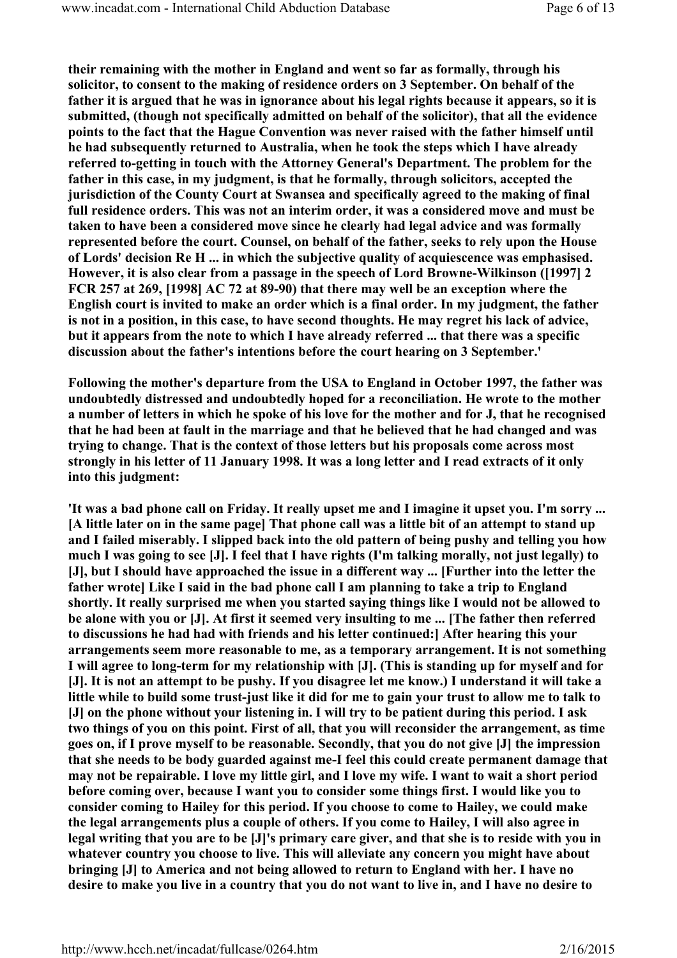their remaining with the mother in England and went so far as formally, through his solicitor, to consent to the making of residence orders on 3 September. On behalf of the father it is argued that he was in ignorance about his legal rights because it appears, so it is submitted, (though not specifically admitted on behalf of the solicitor), that all the evidence points to the fact that the Hague Convention was never raised with the father himself until he had subsequently returned to Australia, when he took the steps which I have already referred to-getting in touch with the Attorney General's Department. The problem for the father in this case, in my judgment, is that he formally, through solicitors, accepted the jurisdiction of the County Court at Swansea and specifically agreed to the making of final full residence orders. This was not an interim order, it was a considered move and must be taken to have been a considered move since he clearly had legal advice and was formally represented before the court. Counsel, on behalf of the father, seeks to rely upon the House of Lords' decision Re H ... in which the subjective quality of acquiescence was emphasised. However, it is also clear from a passage in the speech of Lord Browne-Wilkinson ([1997] 2 FCR 257 at 269, [1998] AC 72 at 89-90) that there may well be an exception where the English court is invited to make an order which is a final order. In my judgment, the father is not in a position, in this case, to have second thoughts. He may regret his lack of advice, but it appears from the note to which I have already referred ... that there was a specific discussion about the father's intentions before the court hearing on 3 September.'

Following the mother's departure from the USA to England in October 1997, the father was undoubtedly distressed and undoubtedly hoped for a reconciliation. He wrote to the mother a number of letters in which he spoke of his love for the mother and for J, that he recognised that he had been at fault in the marriage and that he believed that he had changed and was trying to change. That is the context of those letters but his proposals come across most strongly in his letter of 11 January 1998. It was a long letter and I read extracts of it only into this judgment:

'It was a bad phone call on Friday. It really upset me and I imagine it upset you. I'm sorry ... [A little later on in the same page] That phone call was a little bit of an attempt to stand up and I failed miserably. I slipped back into the old pattern of being pushy and telling you how much I was going to see [J]. I feel that I have rights (I'm talking morally, not just legally) to [J], but I should have approached the issue in a different way ... [Further into the letter the father wrote] Like I said in the bad phone call I am planning to take a trip to England shortly. It really surprised me when you started saying things like I would not be allowed to be alone with you or [J]. At first it seemed very insulting to me ... [The father then referred to discussions he had had with friends and his letter continued:] After hearing this your arrangements seem more reasonable to me, as a temporary arrangement. It is not something I will agree to long-term for my relationship with [J]. (This is standing up for myself and for [J]. It is not an attempt to be pushy. If you disagree let me know.) I understand it will take a little while to build some trust-just like it did for me to gain your trust to allow me to talk to [J] on the phone without your listening in. I will try to be patient during this period. I ask two things of you on this point. First of all, that you will reconsider the arrangement, as time goes on, if I prove myself to be reasonable. Secondly, that you do not give [J] the impression that she needs to be body guarded against me-I feel this could create permanent damage that may not be repairable. I love my little girl, and I love my wife. I want to wait a short period before coming over, because I want you to consider some things first. I would like you to consider coming to Hailey for this period. If you choose to come to Hailey, we could make the legal arrangements plus a couple of others. If you come to Hailey, I will also agree in legal writing that you are to be [J]'s primary care giver, and that she is to reside with you in whatever country you choose to live. This will alleviate any concern you might have about bringing [J] to America and not being allowed to return to England with her. I have no desire to make you live in a country that you do not want to live in, and I have no desire to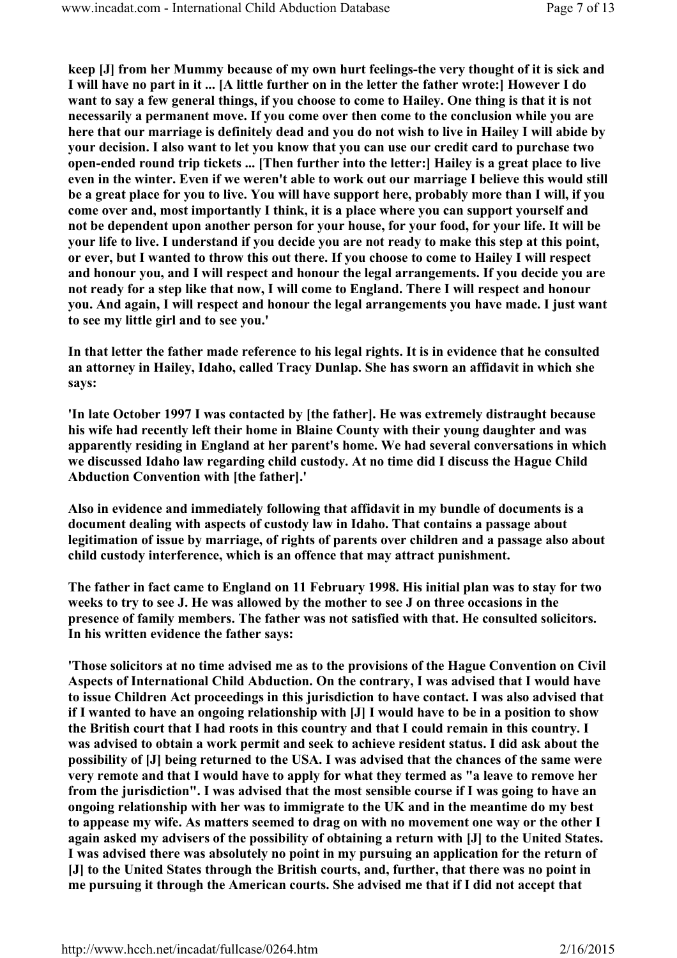keep [J] from her Mummy because of my own hurt feelings-the very thought of it is sick and I will have no part in it ... [A little further on in the letter the father wrote:] However I do want to say a few general things, if you choose to come to Hailey. One thing is that it is not necessarily a permanent move. If you come over then come to the conclusion while you are here that our marriage is definitely dead and you do not wish to live in Hailey I will abide by your decision. I also want to let you know that you can use our credit card to purchase two open-ended round trip tickets ... [Then further into the letter:] Hailey is a great place to live even in the winter. Even if we weren't able to work out our marriage I believe this would still be a great place for you to live. You will have support here, probably more than I will, if you come over and, most importantly I think, it is a place where you can support yourself and not be dependent upon another person for your house, for your food, for your life. It will be your life to live. I understand if you decide you are not ready to make this step at this point, or ever, but I wanted to throw this out there. If you choose to come to Hailey I will respect and honour you, and I will respect and honour the legal arrangements. If you decide you are not ready for a step like that now, I will come to England. There I will respect and honour you. And again, I will respect and honour the legal arrangements you have made. I just want to see my little girl and to see you.'

In that letter the father made reference to his legal rights. It is in evidence that he consulted an attorney in Hailey, Idaho, called Tracy Dunlap. She has sworn an affidavit in which she says:

'In late October 1997 I was contacted by [the father]. He was extremely distraught because his wife had recently left their home in Blaine County with their young daughter and was apparently residing in England at her parent's home. We had several conversations in which we discussed Idaho law regarding child custody. At no time did I discuss the Hague Child Abduction Convention with [the father].'

Also in evidence and immediately following that affidavit in my bundle of documents is a document dealing with aspects of custody law in Idaho. That contains a passage about legitimation of issue by marriage, of rights of parents over children and a passage also about child custody interference, which is an offence that may attract punishment.

The father in fact came to England on 11 February 1998. His initial plan was to stay for two weeks to try to see J. He was allowed by the mother to see J on three occasions in the presence of family members. The father was not satisfied with that. He consulted solicitors. In his written evidence the father says:

'Those solicitors at no time advised me as to the provisions of the Hague Convention on Civil Aspects of International Child Abduction. On the contrary, I was advised that I would have to issue Children Act proceedings in this jurisdiction to have contact. I was also advised that if I wanted to have an ongoing relationship with [J] I would have to be in a position to show the British court that I had roots in this country and that I could remain in this country. I was advised to obtain a work permit and seek to achieve resident status. I did ask about the possibility of [J] being returned to the USA. I was advised that the chances of the same were very remote and that I would have to apply for what they termed as "a leave to remove her from the jurisdiction". I was advised that the most sensible course if I was going to have an ongoing relationship with her was to immigrate to the UK and in the meantime do my best to appease my wife. As matters seemed to drag on with no movement one way or the other I again asked my advisers of the possibility of obtaining a return with [J] to the United States. I was advised there was absolutely no point in my pursuing an application for the return of [J] to the United States through the British courts, and, further, that there was no point in me pursuing it through the American courts. She advised me that if I did not accept that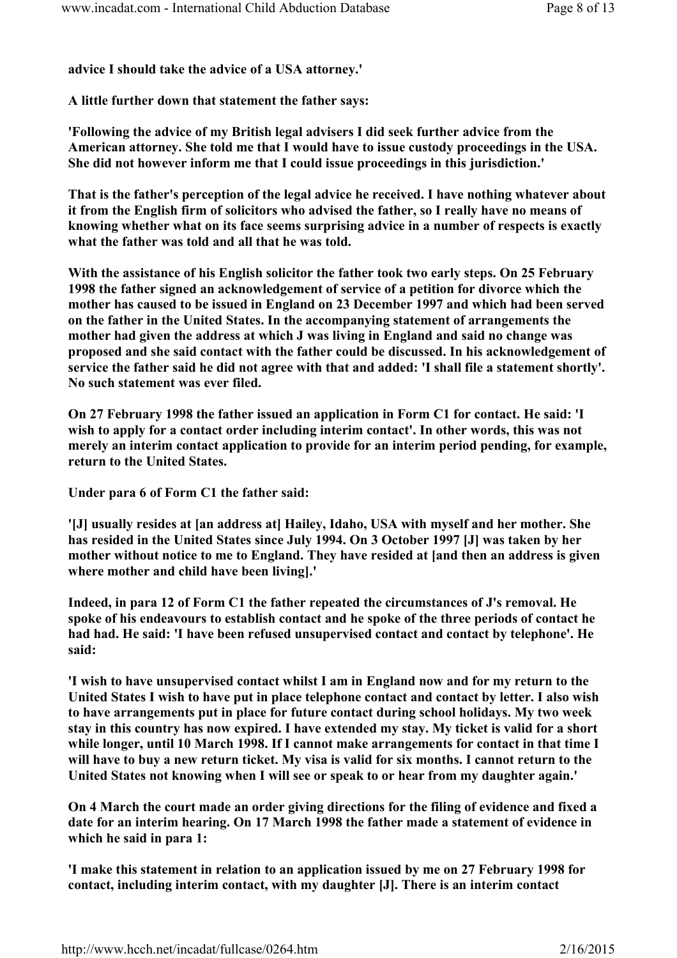advice I should take the advice of a USA attorney.'

A little further down that statement the father says:

'Following the advice of my British legal advisers I did seek further advice from the American attorney. She told me that I would have to issue custody proceedings in the USA. She did not however inform me that I could issue proceedings in this jurisdiction.'

That is the father's perception of the legal advice he received. I have nothing whatever about it from the English firm of solicitors who advised the father, so I really have no means of knowing whether what on its face seems surprising advice in a number of respects is exactly what the father was told and all that he was told.

With the assistance of his English solicitor the father took two early steps. On 25 February 1998 the father signed an acknowledgement of service of a petition for divorce which the mother has caused to be issued in England on 23 December 1997 and which had been served on the father in the United States. In the accompanying statement of arrangements the mother had given the address at which J was living in England and said no change was proposed and she said contact with the father could be discussed. In his acknowledgement of service the father said he did not agree with that and added: 'I shall file a statement shortly'. No such statement was ever filed.

On 27 February 1998 the father issued an application in Form C1 for contact. He said: 'I wish to apply for a contact order including interim contact'. In other words, this was not merely an interim contact application to provide for an interim period pending, for example, return to the United States.

Under para 6 of Form C1 the father said:

'[J] usually resides at [an address at] Hailey, Idaho, USA with myself and her mother. She has resided in the United States since July 1994. On 3 October 1997 [J] was taken by her mother without notice to me to England. They have resided at [and then an address is given where mother and child have been living].'

Indeed, in para 12 of Form C1 the father repeated the circumstances of J's removal. He spoke of his endeavours to establish contact and he spoke of the three periods of contact he had had. He said: 'I have been refused unsupervised contact and contact by telephone'. He said:

'I wish to have unsupervised contact whilst I am in England now and for my return to the United States I wish to have put in place telephone contact and contact by letter. I also wish to have arrangements put in place for future contact during school holidays. My two week stay in this country has now expired. I have extended my stay. My ticket is valid for a short while longer, until 10 March 1998. If I cannot make arrangements for contact in that time I will have to buy a new return ticket. My visa is valid for six months. I cannot return to the United States not knowing when I will see or speak to or hear from my daughter again.'

On 4 March the court made an order giving directions for the filing of evidence and fixed a date for an interim hearing. On 17 March 1998 the father made a statement of evidence in which he said in para 1:

'I make this statement in relation to an application issued by me on 27 February 1998 for contact, including interim contact, with my daughter [J]. There is an interim contact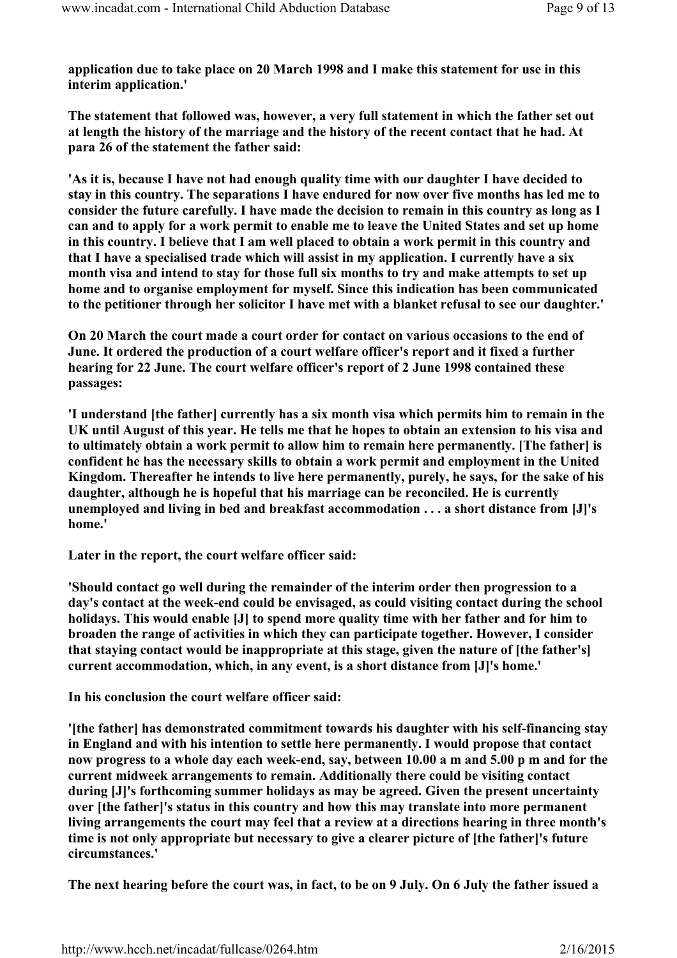application due to take place on 20 March 1998 and I make this statement for use in this interim application.'

The statement that followed was, however, a very full statement in which the father set out at length the history of the marriage and the history of the recent contact that he had. At para 26 of the statement the father said:

'As it is, because I have not had enough quality time with our daughter I have decided to stay in this country. The separations I have endured for now over five months has led me to consider the future carefully. I have made the decision to remain in this country as long as I can and to apply for a work permit to enable me to leave the United States and set up home in this country. I believe that I am well placed to obtain a work permit in this country and that I have a specialised trade which will assist in my application. I currently have a six month visa and intend to stay for those full six months to try and make attempts to set up home and to organise employment for myself. Since this indication has been communicated to the petitioner through her solicitor I have met with a blanket refusal to see our daughter.'

On 20 March the court made a court order for contact on various occasions to the end of June. It ordered the production of a court welfare officer's report and it fixed a further hearing for 22 June. The court welfare officer's report of 2 June 1998 contained these passages:

'I understand [the father] currently has a six month visa which permits him to remain in the UK until August of this year. He tells me that he hopes to obtain an extension to his visa and to ultimately obtain a work permit to allow him to remain here permanently. [The father] is confident he has the necessary skills to obtain a work permit and employment in the United Kingdom. Thereafter he intends to live here permanently, purely, he says, for the sake of his daughter, although he is hopeful that his marriage can be reconciled. He is currently unemployed and living in bed and breakfast accommodation . . . a short distance from [J]'s home.'

Later in the report, the court welfare officer said:

'Should contact go well during the remainder of the interim order then progression to a day's contact at the week-end could be envisaged, as could visiting contact during the school holidays. This would enable [J] to spend more quality time with her father and for him to broaden the range of activities in which they can participate together. However, I consider that staying contact would be inappropriate at this stage, given the nature of [the father's] current accommodation, which, in any event, is a short distance from [J]'s home.'

In his conclusion the court welfare officer said:

'[the father] has demonstrated commitment towards his daughter with his self-financing stay in England and with his intention to settle here permanently. I would propose that contact now progress to a whole day each week-end, say, between 10.00 a m and 5.00 p m and for the current midweek arrangements to remain. Additionally there could be visiting contact during [J]'s forthcoming summer holidays as may be agreed. Given the present uncertainty over [the father]'s status in this country and how this may translate into more permanent living arrangements the court may feel that a review at a directions hearing in three month's time is not only appropriate but necessary to give a clearer picture of [the father]'s future circumstances.'

The next hearing before the court was, in fact, to be on 9 July. On 6 July the father issued a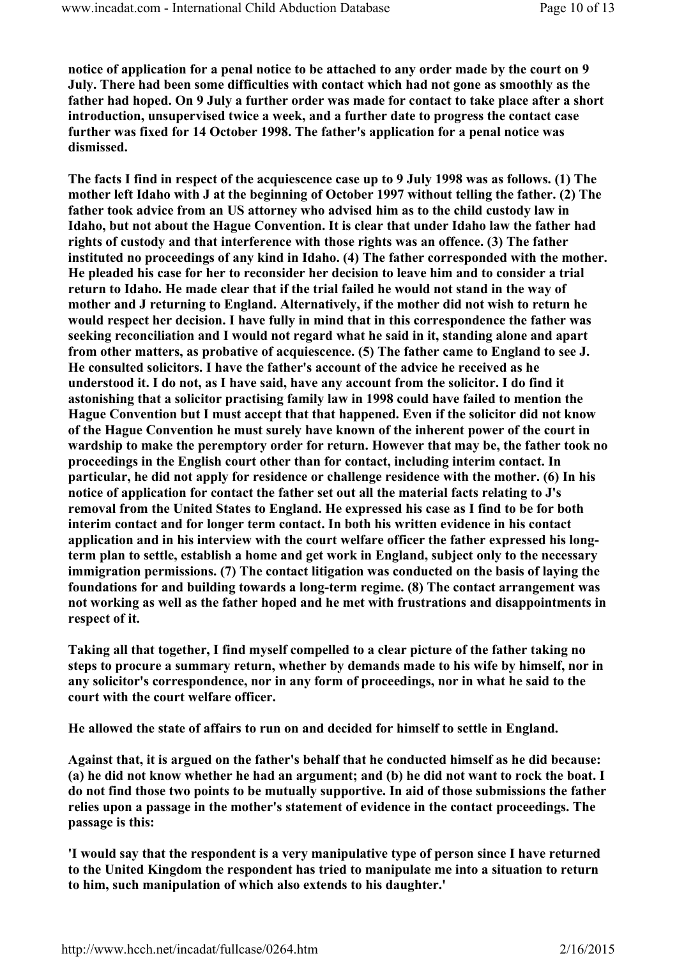notice of application for a penal notice to be attached to any order made by the court on 9 July. There had been some difficulties with contact which had not gone as smoothly as the father had hoped. On 9 July a further order was made for contact to take place after a short introduction, unsupervised twice a week, and a further date to progress the contact case further was fixed for 14 October 1998. The father's application for a penal notice was dismissed.

The facts I find in respect of the acquiescence case up to 9 July 1998 was as follows. (1) The mother left Idaho with J at the beginning of October 1997 without telling the father. (2) The father took advice from an US attorney who advised him as to the child custody law in Idaho, but not about the Hague Convention. It is clear that under Idaho law the father had rights of custody and that interference with those rights was an offence. (3) The father instituted no proceedings of any kind in Idaho. (4) The father corresponded with the mother. He pleaded his case for her to reconsider her decision to leave him and to consider a trial return to Idaho. He made clear that if the trial failed he would not stand in the way of mother and J returning to England. Alternatively, if the mother did not wish to return he would respect her decision. I have fully in mind that in this correspondence the father was seeking reconciliation and I would not regard what he said in it, standing alone and apart from other matters, as probative of acquiescence. (5) The father came to England to see J. He consulted solicitors. I have the father's account of the advice he received as he understood it. I do not, as I have said, have any account from the solicitor. I do find it astonishing that a solicitor practising family law in 1998 could have failed to mention the Hague Convention but I must accept that that happened. Even if the solicitor did not know of the Hague Convention he must surely have known of the inherent power of the court in wardship to make the peremptory order for return. However that may be, the father took no proceedings in the English court other than for contact, including interim contact. In particular, he did not apply for residence or challenge residence with the mother. (6) In his notice of application for contact the father set out all the material facts relating to J's removal from the United States to England. He expressed his case as I find to be for both interim contact and for longer term contact. In both his written evidence in his contact application and in his interview with the court welfare officer the father expressed his longterm plan to settle, establish a home and get work in England, subject only to the necessary immigration permissions. (7) The contact litigation was conducted on the basis of laying the foundations for and building towards a long-term regime. (8) The contact arrangement was not working as well as the father hoped and he met with frustrations and disappointments in respect of it.

Taking all that together, I find myself compelled to a clear picture of the father taking no steps to procure a summary return, whether by demands made to his wife by himself, nor in any solicitor's correspondence, nor in any form of proceedings, nor in what he said to the court with the court welfare officer.

He allowed the state of affairs to run on and decided for himself to settle in England.

Against that, it is argued on the father's behalf that he conducted himself as he did because: (a) he did not know whether he had an argument; and (b) he did not want to rock the boat. I do not find those two points to be mutually supportive. In aid of those submissions the father relies upon a passage in the mother's statement of evidence in the contact proceedings. The passage is this:

'I would say that the respondent is a very manipulative type of person since I have returned to the United Kingdom the respondent has tried to manipulate me into a situation to return to him, such manipulation of which also extends to his daughter.'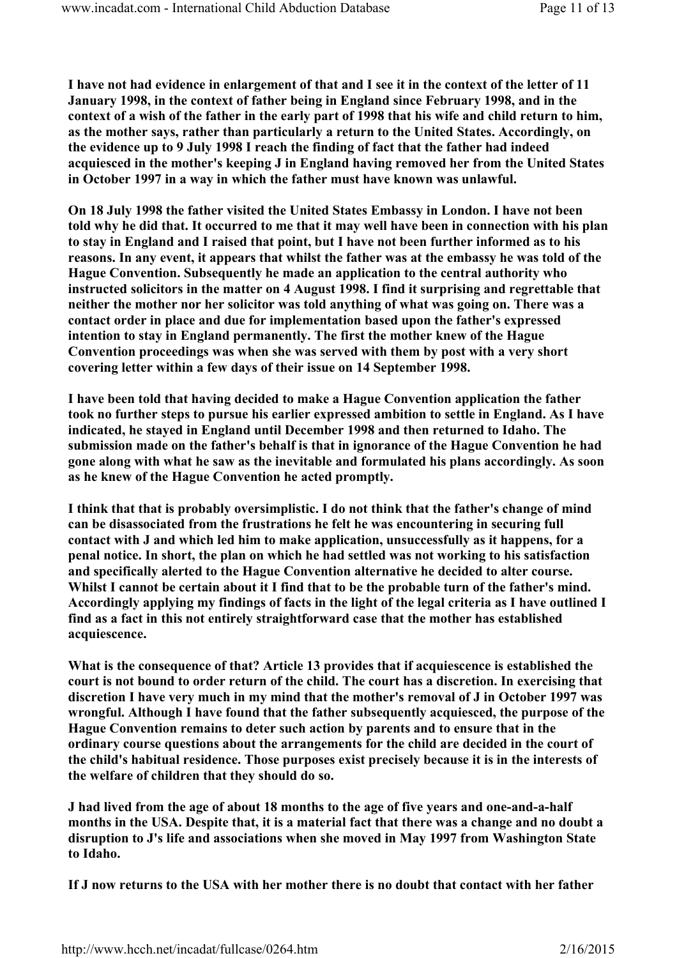I have not had evidence in enlargement of that and I see it in the context of the letter of 11 January 1998, in the context of father being in England since February 1998, and in the context of a wish of the father in the early part of 1998 that his wife and child return to him, as the mother says, rather than particularly a return to the United States. Accordingly, on the evidence up to 9 July 1998 I reach the finding of fact that the father had indeed acquiesced in the mother's keeping J in England having removed her from the United States in October 1997 in a way in which the father must have known was unlawful.

On 18 July 1998 the father visited the United States Embassy in London. I have not been told why he did that. It occurred to me that it may well have been in connection with his plan to stay in England and I raised that point, but I have not been further informed as to his reasons. In any event, it appears that whilst the father was at the embassy he was told of the Hague Convention. Subsequently he made an application to the central authority who instructed solicitors in the matter on 4 August 1998. I find it surprising and regrettable that neither the mother nor her solicitor was told anything of what was going on. There was a contact order in place and due for implementation based upon the father's expressed intention to stay in England permanently. The first the mother knew of the Hague Convention proceedings was when she was served with them by post with a very short covering letter within a few days of their issue on 14 September 1998.

I have been told that having decided to make a Hague Convention application the father took no further steps to pursue his earlier expressed ambition to settle in England. As I have indicated, he stayed in England until December 1998 and then returned to Idaho. The submission made on the father's behalf is that in ignorance of the Hague Convention he had gone along with what he saw as the inevitable and formulated his plans accordingly. As soon as he knew of the Hague Convention he acted promptly.

I think that that is probably oversimplistic. I do not think that the father's change of mind can be disassociated from the frustrations he felt he was encountering in securing full contact with J and which led him to make application, unsuccessfully as it happens, for a penal notice. In short, the plan on which he had settled was not working to his satisfaction and specifically alerted to the Hague Convention alternative he decided to alter course. Whilst I cannot be certain about it I find that to be the probable turn of the father's mind. Accordingly applying my findings of facts in the light of the legal criteria as I have outlined I find as a fact in this not entirely straightforward case that the mother has established acquiescence.

What is the consequence of that? Article 13 provides that if acquiescence is established the court is not bound to order return of the child. The court has a discretion. In exercising that discretion I have very much in my mind that the mother's removal of J in October 1997 was wrongful. Although I have found that the father subsequently acquiesced, the purpose of the Hague Convention remains to deter such action by parents and to ensure that in the ordinary course questions about the arrangements for the child are decided in the court of the child's habitual residence. Those purposes exist precisely because it is in the interests of the welfare of children that they should do so.

J had lived from the age of about 18 months to the age of five years and one-and-a-half months in the USA. Despite that, it is a material fact that there was a change and no doubt a disruption to J's life and associations when she moved in May 1997 from Washington State to Idaho.

If J now returns to the USA with her mother there is no doubt that contact with her father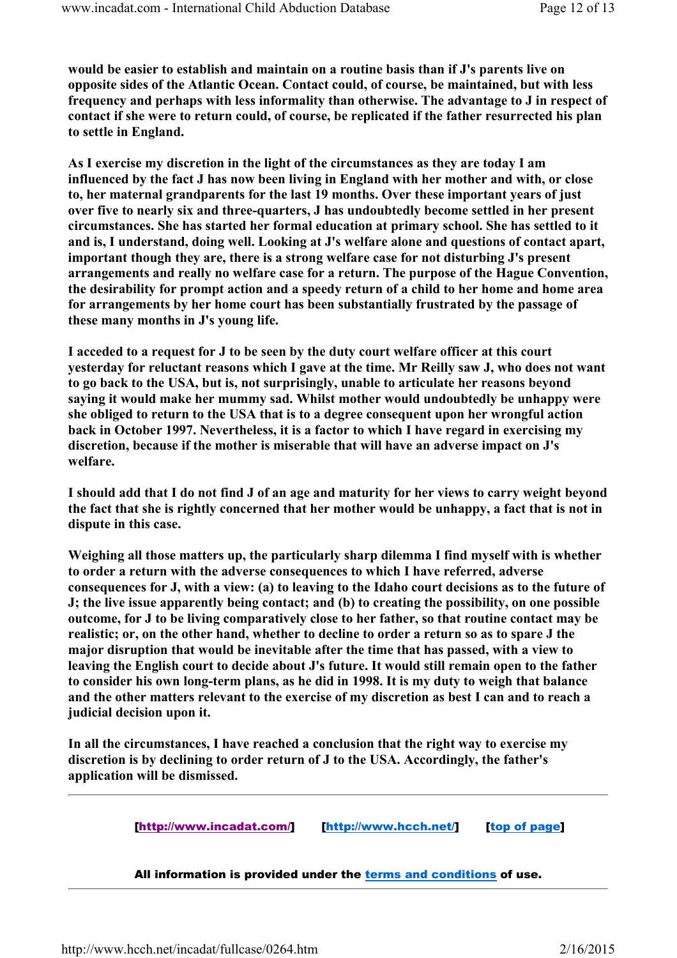would be easier to establish and maintain on a routine basis than if J's parents live on opposite sides of the Atlantic Ocean. Contact could, of course, be maintained, but with less frequency and perhaps with less informality than otherwise. The advantage to J in respect of contact if she were to return could, of course, be replicated if the father resurrected his plan to settle in England.

As I exercise my discretion in the light of the circumstances as they are today I am influenced by the fact J has now been living in England with her mother and with, or close to, her maternal grandparents for the last 19 months. Over these important years of just over five to nearly six and three-quarters, J has undoubtedly become settled in her present circumstances. She has started her formal education at primary school. She has settled to it and is, I understand, doing well. Looking at J's welfare alone and questions of contact apart, important though they are, there is a strong welfare case for not disturbing J's present arrangements and really no welfare case for a return. The purpose of the Hague Convention, the desirability for prompt action and a speedy return of a child to her home and home area for arrangements by her home court has been substantially frustrated by the passage of these many months in J's young life.

I acceded to a request for J to be seen by the duty court welfare officer at this court yesterday for reluctant reasons which I gave at the time. Mr Reilly saw J, who does not want to go back to the USA, but is, not surprisingly, unable to articulate her reasons beyond saying it would make her mummy sad. Whilst mother would undoubtedly be unhappy were she obliged to return to the USA that is to a degree consequent upon her wrongful action back in October 1997. Nevertheless, it is a factor to which I have regard in exercising my discretion, because if the mother is miserable that will have an adverse impact on J's welfare.

I should add that I do not find J of an age and maturity for her views to carry weight beyond the fact that she is rightly concerned that her mother would be unhappy, a fact that is not in dispute in this case.

Weighing all those matters up, the particularly sharp dilemma I find myself with is whether to order a return with the adverse consequences to which I have referred, adverse consequences for J, with a view: (a) to leaving to the Idaho court decisions as to the future of J; the live issue apparently being contact; and (b) to creating the possibility, on one possible outcome, for J to be living comparatively close to her father, so that routine contact may be realistic; or, on the other hand, whether to decline to order a return so as to spare J the major disruption that would be inevitable after the time that has passed, with a view to leaving the English court to decide about J's future. It would still remain open to the father to consider his own long-term plans, as he did in 1998. It is my duty to weigh that balance and the other matters relevant to the exercise of my discretion as best I can and to reach a judicial decision upon it.

In all the circumstances, I have reached a conclusion that the right way to exercise my discretion is by declining to order return of J to the USA. Accordingly, the father's application will be dismissed.

[http://www.incadat.com/] [http://www.hcch.net/] [top of page]

All information is provided under the terms and conditions of use.